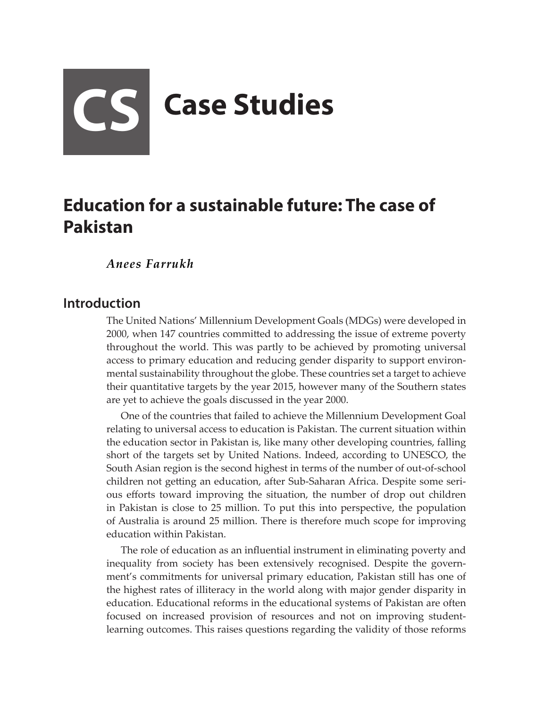# **CS Case Studies**

# **Education for a sustainable future: The case of Pakistan**

*Anees Farrukh*

## **Introduction**

The United Nations' Millennium Development Goals (MDGs) were developed in 2000, when 147 countries committed to addressing the issue of extreme poverty throughout the world. This was partly to be achieved by promoting universal access to primary education and reducing gender disparity to support environmental sustainability throughout the globe. These countries set a target to achieve their quantitative targets by the year 2015, however many of the Southern states are yet to achieve the goals discussed in the year 2000.

One of the countries that failed to achieve the Millennium Development Goal relating to universal access to education is Pakistan. The current situation within the education sector in Pakistan is, like many other developing countries, falling short of the targets set by United Nations. Indeed, according to UNESCO, the South Asian region is the second highest in terms of the number of out-of-school children not getting an education, after Sub-Saharan Africa. Despite some serious efforts toward improving the situation, the number of drop out children in Pakistan is close to 25 million. To put this into perspective, the population of Australia is around 25 million. There is therefore much scope for improving education within Pakistan.

The role of education as an influential instrument in eliminating poverty and inequality from society has been extensively recognised. Despite the government's commitments for universal primary education, Pakistan still has one of the highest rates of illiteracy in the world along with major gender disparity in education. Educational reforms in the educational systems of Pakistan are often focused on increased provision of resources and not on improving studentlearning outcomes. This raises questions regarding the validity of those reforms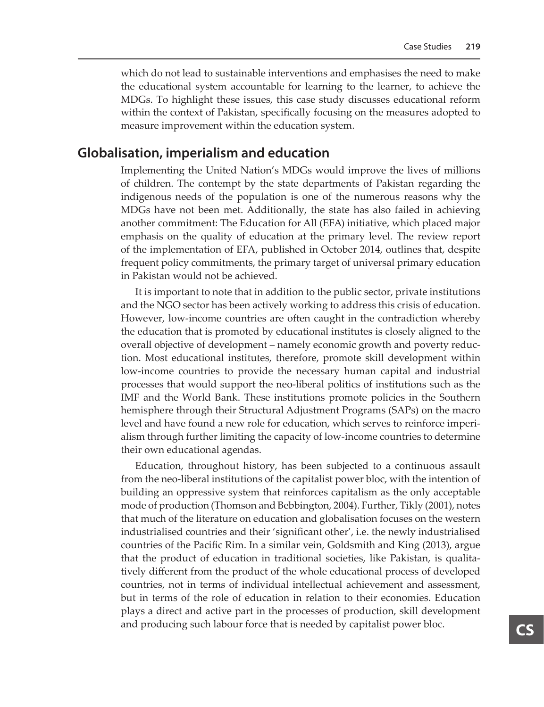which do not lead to sustainable interventions and emphasises the need to make the educational system accountable for learning to the learner, to achieve the MDGs. To highlight these issues, this case study discusses educational reform within the context of Pakistan, specifically focusing on the measures adopted to measure improvement within the education system.

### **Globalisation, imperialism and education**

Implementing the United Nation's MDGs would improve the lives of millions of children. The contempt by the state departments of Pakistan regarding the indigenous needs of the population is one of the numerous reasons why the MDGs have not been met. Additionally, the state has also failed in achieving another commitment: The Education for All (EFA) initiative, which placed major emphasis on the quality of education at the primary level. The review report of the implementation of EFA, published in October 2014, outlines that, despite frequent policy commitments, the primary target of universal primary education in Pakistan would not be achieved.

It is important to note that in addition to the public sector, private institutions and the NGO sector has been actively working to address this crisis of education. However, low-income countries are often caught in the contradiction whereby the education that is promoted by educational institutes is closely aligned to the overall objective of development – namely economic growth and poverty reduction. Most educational institutes, therefore, promote skill development within low-income countries to provide the necessary human capital and industrial processes that would support the neo-liberal politics of institutions such as the IMF and the World Bank. These institutions promote policies in the Southern hemisphere through their Structural Adjustment Programs (SAPs) on the macro level and have found a new role for education, which serves to reinforce imperialism through further limiting the capacity of low-income countries to determine their own educational agendas.

Education, throughout history, has been subjected to a continuous assault from the neo-liberal institutions of the capitalist power bloc, with the intention of building an oppressive system that reinforces capitalism as the only acceptable mode of production (Thomson and Bebbington, 2004). Further, Tikly (2001), notes that much of the literature on education and globalisation focuses on the western industrialised countries and their 'significant other', i.e. the newly industrialised countries of the Pacific Rim. In a similar vein, Goldsmith and King (2013), argue that the product of education in traditional societies, like Pakistan, is qualitatively different from the product of the whole educational process of developed countries, not in terms of individual intellectual achievement and assessment, but in terms of the role of education in relation to their economies. Education plays a direct and active part in the processes of production, skill development and producing such labour force that is needed by capitalist power bloc.